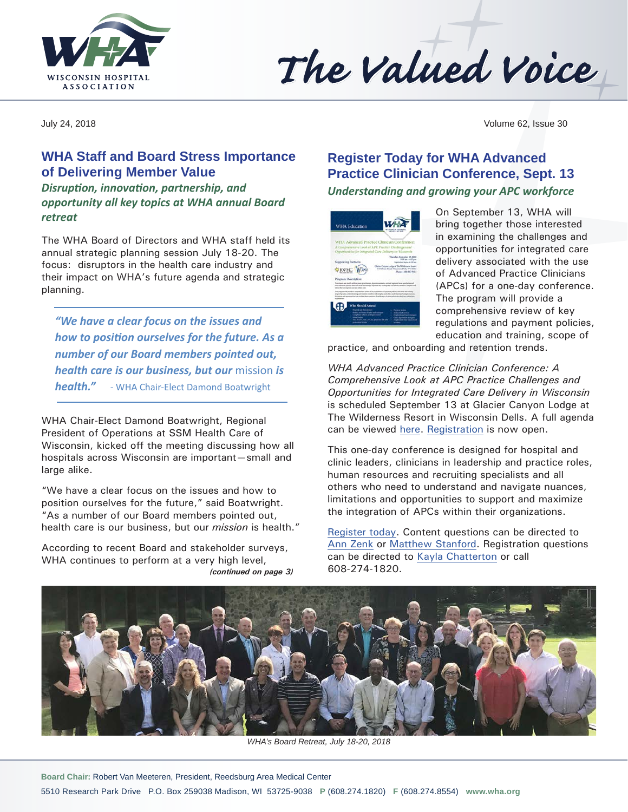



July 24, 2018 Volume 62, Issue 30

## **WHA Staff and Board Stress Importance of Delivering Member Value**

*Disruption, innovation, partnership, and opportunity all key topics at WHA annual Board retreat*

The WHA Board of Directors and WHA staff held its annual strategic planning session July 18-20. The focus: disruptors in the health care industry and their impact on WHA's future agenda and strategic planning.

*"We have a clear focus on the issues and how to position ourselves for the future. As a number of our Board members pointed out, health care is our business, but our* mission *is health."* - WHA Chair-Elect Damond Boatwright

WHA Chair-Elect Damond Boatwright, Regional President of Operations at SSM Health Care of Wisconsin, kicked off the meeting discussing how all hospitals across Wisconsin are important—small and large alike.

"We have a clear focus on the issues and how to position ourselves for the future," said Boatwright. "As a number of our Board members pointed out, health care is our business, but our *mission* is health."

According to recent Board and stakeholder surveys, WHA continues to perform at a very high level, *(continued on page 3)*

# **Register Today for WHA Advanced Practice Clinician Conference, Sept. 13**

*Understanding and growing your APC workforce*

| <b>WHA Education</b>                                                                                       | A RAIDE EAST OR                                                                                                                                                                                                                                                                                                                   |
|------------------------------------------------------------------------------------------------------------|-----------------------------------------------------------------------------------------------------------------------------------------------------------------------------------------------------------------------------------------------------------------------------------------------------------------------------------|
|                                                                                                            | WHA Advanced Practice Clinician Conference:<br>A Comprehensive Look at APC Practice Challenges and<br>Opportunities for Integrated Care Delivery in Wacamin                                                                                                                                                                       |
| Supporting Partners:<br><b>EXWHC WONE</b>                                                                  | Thursday, September 13, 2018<br>Will are 1440 per<br><b>Charles Agency of A.M. and</b><br>Glaster Carport Ledge at The Wilshinson Resort<br>42 Fillows Road, Waconson Della, MT 57061<br>Phone: 1,486, 867, 6451                                                                                                                  |
| Program Description:<br>shalls that use improve cast and achievi and                                       | from head car middy attempts are pretineers, dismise assessive critical episonal exceptation and<br>erfor advanced practic check are an increasingly standard for to import from Millers and this bugetak and<br>This principal will provide a comprehensive on text of her reguments and payment pollutes after atom and making. |
| Who Sheeld Attend<br>with the party of power functions.<br>thought, pays limited forgitari and museums     | ength of prochasi and orderating and retation recede to brightering built and other easily stand and competition<br>Traiteful and approvaline that controls them manitors the enthusine of colours of pricince stations within their<br><b>Photographical</b><br><b>Weekly and Continues</b>                                      |
| Constance offers and back counts<br>WHO BELA CASH, CHIC 95, provides and pad-<br><b>Incidenting Scotia</b> | <b>House of the person of the com-</b><br>Class determine autopro-<br>Freshol ask does made at hot                                                                                                                                                                                                                                |

On September 13, WHA will bring together those interested in examining the challenges and opportunities for integrated care delivery associated with the use of Advanced Practice Clinicians (APCs) for a one-day conference. The program will provide a comprehensive review of key regulations and payment policies, education and training, scope of

practice, and onboarding and retention trends.

*WHA Advanced Practice Clinician Conference: A Comprehensive Look at APC Practice Challenges and Opportunities for Integrated Care Delivery in Wisconsin* is scheduled September 13 at Glacier Canyon Lodge at The Wilderness Resort in Wisconsin Dells. A full agenda can be viewed [here.](http://www.wha.org/education/2018APCconference9-13.pdf) [Registration](http://www.cvent.com/d/hgq74q) is now open.

This one-day conference is designed for hospital and clinic leaders, clinicians in leadership and practice roles, human resources and recruiting specialists and all others who need to understand and navigate nuances, limitations and opportunities to support and maximize the integration of APCs within their organizations.

[Register today](http://www.cvent.com/d/hgq74q). Content questions can be directed to [Ann Zenk](mailto:azenk@wha.org) or [Matthew Stanford.](mailto:mstanford@wha.org) Registration questions can be directed to [Kayla Chatterton](mailto:kchatterton@wha.org) or call 608-274-1820.



*WHA's Board Retreat, July 18-20, 2018*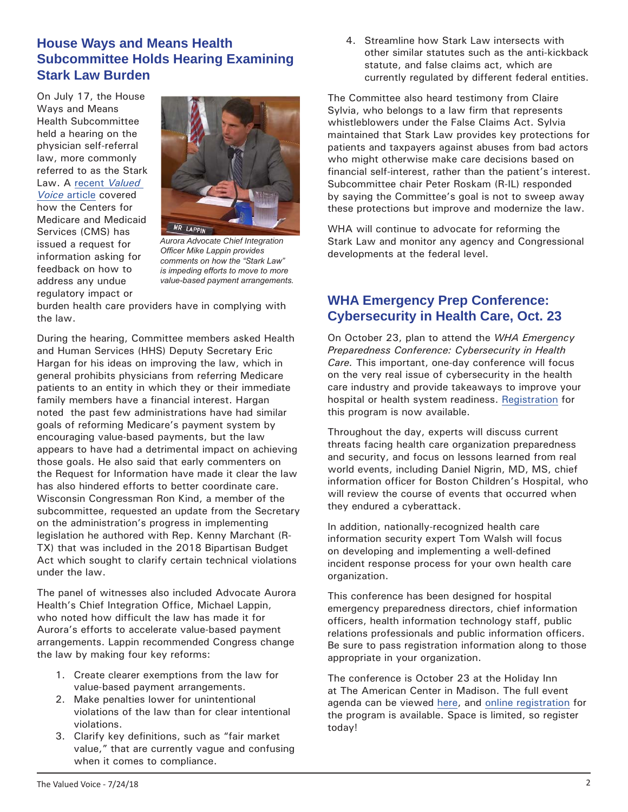### **House Ways and Means Health Subcommittee Holds Hearing Examining Stark Law Burden**

On July 17, the House Ways and Means Health Subcommittee held a hearing on the physician self-referral law, more commonly referred to as the Stark Law. A recent *[Valued](http://www.wha.org/Data/Sites/1/pubarchive/valued_voice/WHA-Newsletter-7-10-2018.pdf#page=2)  Voice* [article](http://www.wha.org/Data/Sites/1/pubarchive/valued_voice/WHA-Newsletter-7-10-2018.pdf#page=2) covered how the Centers for Medicare and Medicaid Services (CMS) has issued a request for information asking for feedback on how to address any undue regulatory impact or



*Aurora Advocate Chief Integration Officer Mike Lappin provides comments on how the "Stark Law" is impeding efforts to move to more value-based payment arrangements.*

burden health care providers have in complying with the law.

During the hearing, Committee members asked Health and Human Services (HHS) Deputy Secretary Eric Hargan for his ideas on improving the law, which in general prohibits physicians from referring Medicare patients to an entity in which they or their immediate family members have a financial interest. Hargan noted the past few administrations have had similar goals of reforming Medicare's payment system by encouraging value-based payments, but the law appears to have had a detrimental impact on achieving those goals. He also said that early commenters on the Request for Information have made it clear the law has also hindered efforts to better coordinate care. Wisconsin Congressman Ron Kind, a member of the subcommittee, requested an update from the Secretary on the administration's progress in implementing legislation he authored with Rep. Kenny Marchant (R-TX) that was included in the 2018 Bipartisan Budget Act which sought to clarify certain technical violations under the law.

The panel of witnesses also included Advocate Aurora Health's Chief Integration Office, Michael Lappin, who noted how difficult the law has made it for Aurora's efforts to accelerate value-based payment arrangements. Lappin recommended Congress change the law by making four key reforms:

- 1. Create clearer exemptions from the law for value-based payment arrangements.
- 2. Make penalties lower for unintentional violations of the law than for clear intentional violations.
- 3. Clarify key definitions, such as "fair market value," that are currently vague and confusing when it comes to compliance.

4. Streamline how Stark Law intersects with other similar statutes such as the anti-kickback statute, and false claims act, which are currently regulated by different federal entities.

The Committee also heard testimony from Claire Sylvia, who belongs to a law firm that represents whistleblowers under the False Claims Act. Sylvia maintained that Stark Law provides key protections for patients and taxpayers against abuses from bad actors who might otherwise make care decisions based on financial self-interest, rather than the patient's interest. Subcommittee chair Peter Roskam (R-IL) responded by saying the Committee's goal is not to sweep away these protections but improve and modernize the law.

WHA will continue to advocate for reforming the Stark Law and monitor any agency and Congressional developments at the federal level.

## **WHA Emergency Prep Conference: Cybersecurity in Health Care, Oct. 23**

On October 23, plan to attend the *WHA Emergency Preparedness Conference: Cybersecurity in Health Care.* This important, one-day conference will focus on the very real issue of cybersecurity in the health care industry and provide takeaways to improve your hospital or health system readiness. [Registration](http://www.cvent.com/d/wgqz7y) for this program is now available.

Throughout the day, experts will discuss current threats facing health care organization preparedness and security, and focus on lessons learned from real world events, including Daniel Nigrin, MD, MS, chief information officer for Boston Children's Hospital, who will review the course of events that occurred when they endured a cyberattack.

In addition, nationally-recognized health care information security expert Tom Walsh will focus on developing and implementing a well-defined incident response process for your own health care organization.

This conference has been designed for hospital emergency preparedness directors, chief information officers, health information technology staff, public relations professionals and public information officers. Be sure to pass registration information along to those appropriate in your organization.

The conference is October 23 at the Holiday Inn at The American Center in Madison. The full event agenda can be viewed [here](http://www.wha.org/data/sites/1/education/2018emergencyprepconf10-23.pdf), and [online registration](http://www.cvent.com/d/wgqz7y) for the program is available. Space is limited, so register today!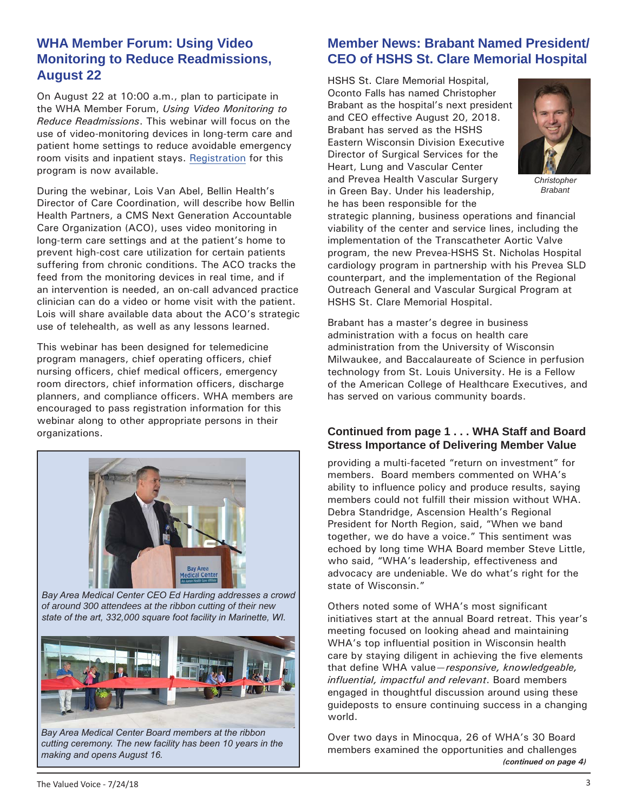#### **WHA Member Forum: Using Video Monitoring to Reduce Readmissions, August 22**

On August 22 at 10:00 a.m., plan to participate in the WHA Member Forum, *Using Video Monitoring to Reduce Readmissions*. This webinar will focus on the use of video-monitoring devices in long-term care and patient home settings to reduce avoidable emergency room visits and inpatient stays. [Registration](http://www.whareg4.org/Telemed0822/Home.aspx) for this program is now available.

During the webinar, Lois Van Abel, Bellin Health's Director of Care Coordination, will describe how Bellin Health Partners, a CMS Next Generation Accountable Care Organization (ACO), uses video monitoring in long-term care settings and at the patient's home to prevent high-cost care utilization for certain patients suffering from chronic conditions. The ACO tracks the feed from the monitoring devices in real time, and if an intervention is needed, an on-call advanced practice clinician can do a video or home visit with the patient. Lois will share available data about the ACO's strategic use of telehealth, as well as any lessons learned.

This webinar has been designed for telemedicine program managers, chief operating officers, chief nursing officers, chief medical officers, emergency room directors, chief information officers, discharge planners, and compliance officers. WHA members are encouraged to pass registration information for this webinar along to other appropriate persons in their organizations.



*Bay Area Medical Center CEO Ed Harding addresses a crowd of around 300 attendees at the ribbon cutting of their new state of the art, 332,000 square foot facility in Marinette, WI.*



*Bay Area Medical Center Board members at the ribbon cutting ceremony. The new facility has been 10 years in the* 

## **Member News: Brabant Named President/ CEO of HSHS St. Clare Memorial Hospital**

HSHS St. Clare Memorial Hospital, Oconto Falls has named Christopher Brabant as the hospital's next president and CEO effective August 20, 2018. Brabant has served as the HSHS Eastern Wisconsin Division Executive Director of Surgical Services for the Heart, Lung and Vascular Center and Prevea Health Vascular Surgery in Green Bay. Under his leadership, he has been responsible for the



*Christopher Brabant*

strategic planning, business operations and financial viability of the center and service lines, including the implementation of the Transcatheter Aortic Valve program, the new Prevea-HSHS St. Nicholas Hospital cardiology program in partnership with his Prevea SLD counterpart, and the implementation of the Regional Outreach General and Vascular Surgical Program at HSHS St. Clare Memorial Hospital.

Brabant has a master's degree in business administration with a focus on health care administration from the University of Wisconsin Milwaukee, and Baccalaureate of Science in perfusion technology from St. Louis University. He is a Fellow of the American College of Healthcare Executives, and has served on various community boards.

#### **Continued from page 1 . . . WHA Staff and Board Stress Importance of Delivering Member Value**

providing a multi-faceted "return on investment" for members. Board members commented on WHA's ability to influence policy and produce results, saying members could not fulfill their mission without WHA. Debra Standridge, Ascension Health's Regional President for North Region, said, "When we band together, we do have a voice." This sentiment was echoed by long time WHA Board member Steve Little, who said, "WHA's leadership, effectiveness and advocacy are undeniable. We do what's right for the state of Wisconsin."

Others noted some of WHA's most significant initiatives start at the annual Board retreat. This year's meeting focused on looking ahead and maintaining WHA's top influential position in Wisconsin health care by staying diligent in achieving the five elements that define WHA value—*responsive, knowledgeable, influential, impactful and relevant*. Board members engaged in thoughtful discussion around using these guideposts to ensure continuing success in a changing world.

Over two days in Minocqua, 26 of WHA's 30 Board members examined the opportunities and challenges *making and opens August 16. (continued on page 4)*